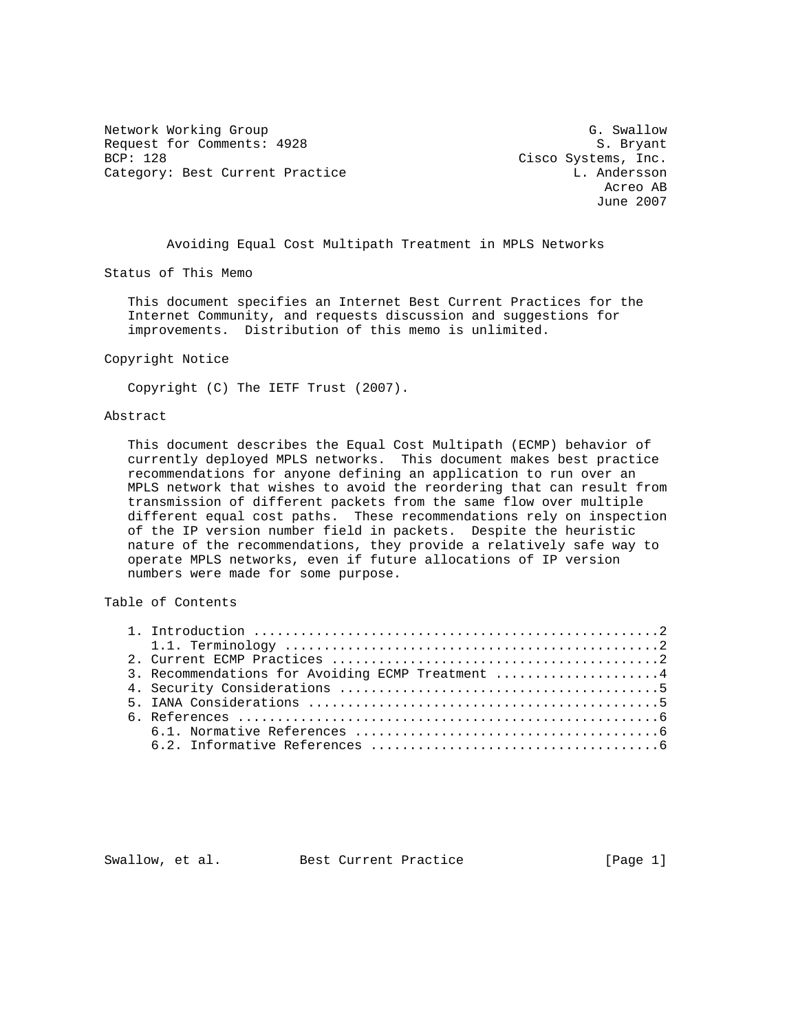Network Working Group G. Swallow G. Swallow Request for Comments: 4928 S. Bryant BCP: 128 Cisco Systems, Inc. Category: Best Current Practice L. Andersson L. Andersson

 Acreo AB June 2007

Avoiding Equal Cost Multipath Treatment in MPLS Networks

Status of This Memo

 This document specifies an Internet Best Current Practices for the Internet Community, and requests discussion and suggestions for improvements. Distribution of this memo is unlimited.

## Copyright Notice

Copyright (C) The IETF Trust (2007).

## Abstract

 This document describes the Equal Cost Multipath (ECMP) behavior of currently deployed MPLS networks. This document makes best practice recommendations for anyone defining an application to run over an MPLS network that wishes to avoid the reordering that can result from transmission of different packets from the same flow over multiple different equal cost paths. These recommendations rely on inspection of the IP version number field in packets. Despite the heuristic nature of the recommendations, they provide a relatively safe way to operate MPLS networks, even if future allocations of IP version numbers were made for some purpose.

## Table of Contents

| 3. Recommendations for Avoiding ECMP Treatment 4 |
|--------------------------------------------------|
|                                                  |
|                                                  |
|                                                  |
|                                                  |
|                                                  |

Swallow, et al. Best Current Practice [Page 1]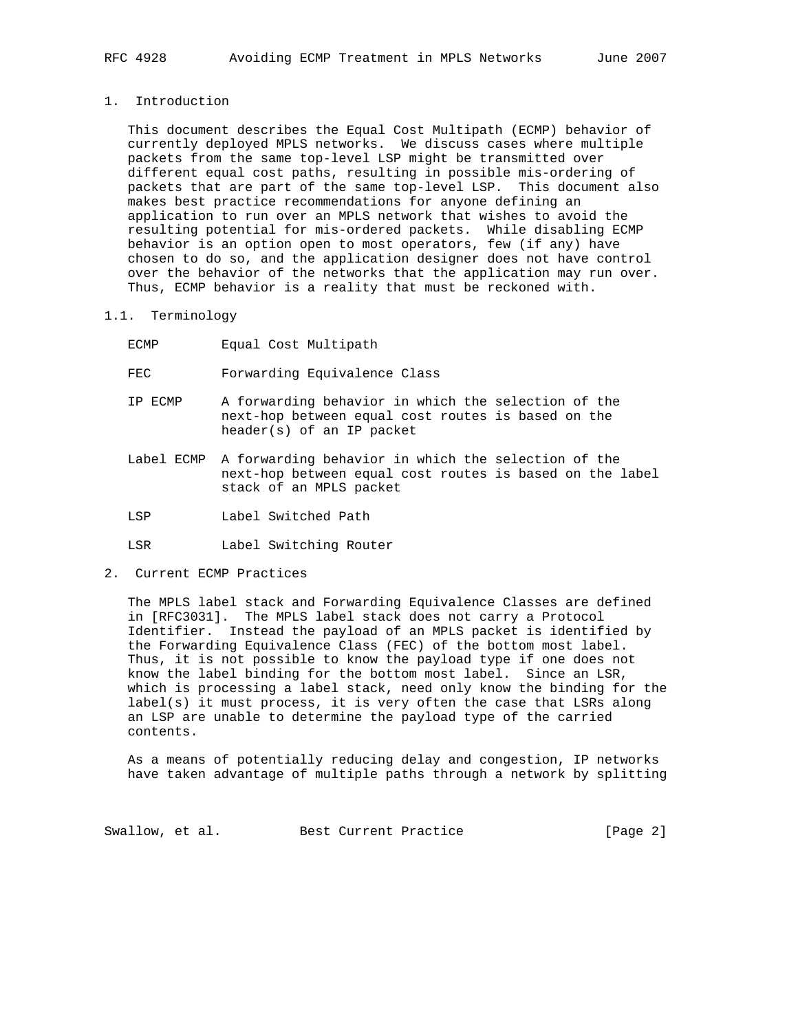1. Introduction

 This document describes the Equal Cost Multipath (ECMP) behavior of currently deployed MPLS networks. We discuss cases where multiple packets from the same top-level LSP might be transmitted over different equal cost paths, resulting in possible mis-ordering of packets that are part of the same top-level LSP. This document also makes best practice recommendations for anyone defining an application to run over an MPLS network that wishes to avoid the resulting potential for mis-ordered packets. While disabling ECMP behavior is an option open to most operators, few (if any) have chosen to do so, and the application designer does not have control over the behavior of the networks that the application may run over. Thus, ECMP behavior is a reality that must be reckoned with.

- 1.1. Terminology
	- ECMP Equal Cost Multipath

FEC Forwarding Equivalence Class

- IP ECMP A forwarding behavior in which the selection of the next-hop between equal cost routes is based on the header(s) of an IP packet
- Label ECMP A forwarding behavior in which the selection of the next-hop between equal cost routes is based on the label stack of an MPLS packet
- LSP Label Switched Path
- LSR Label Switching Router
- 2. Current ECMP Practices

 The MPLS label stack and Forwarding Equivalence Classes are defined in [RFC3031]. The MPLS label stack does not carry a Protocol Identifier. Instead the payload of an MPLS packet is identified by the Forwarding Equivalence Class (FEC) of the bottom most label. Thus, it is not possible to know the payload type if one does not know the label binding for the bottom most label. Since an LSR, which is processing a label stack, need only know the binding for the label(s) it must process, it is very often the case that LSRs along an LSP are unable to determine the payload type of the carried contents.

 As a means of potentially reducing delay and congestion, IP networks have taken advantage of multiple paths through a network by splitting

Swallow, et al. Best Current Practice [Page 2]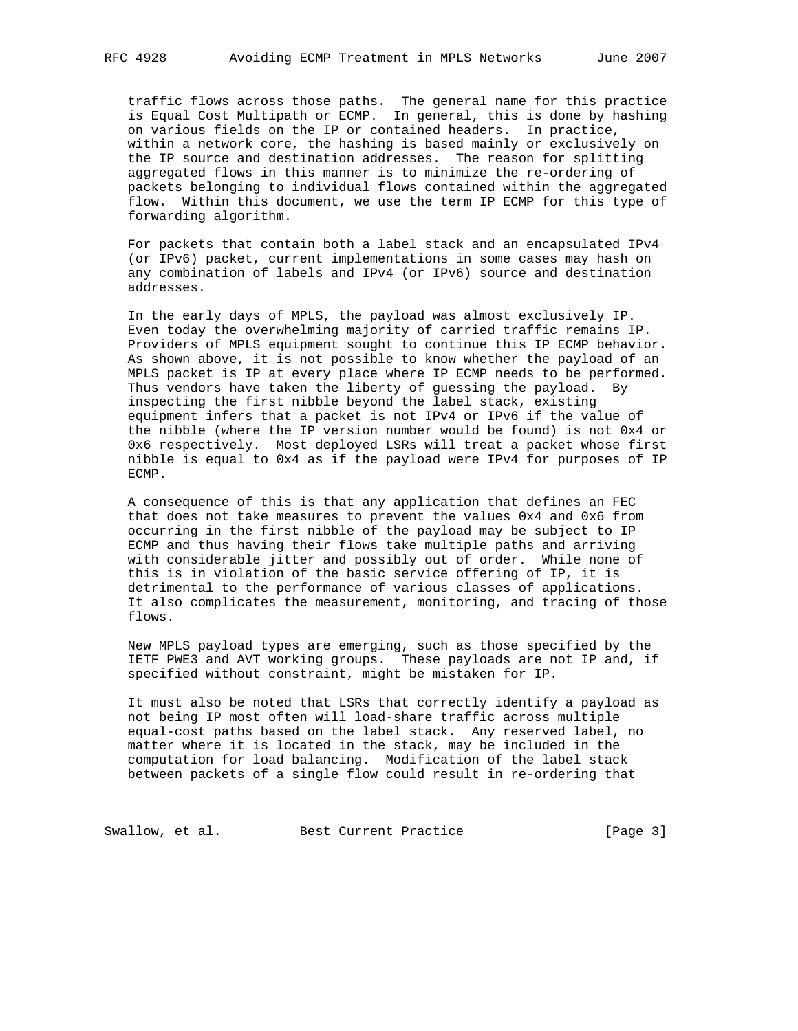traffic flows across those paths. The general name for this practice is Equal Cost Multipath or ECMP. In general, this is done by hashing on various fields on the IP or contained headers. In practice, within a network core, the hashing is based mainly or exclusively on the IP source and destination addresses. The reason for splitting aggregated flows in this manner is to minimize the re-ordering of packets belonging to individual flows contained within the aggregated flow. Within this document, we use the term IP ECMP for this type of forwarding algorithm.

 For packets that contain both a label stack and an encapsulated IPv4 (or IPv6) packet, current implementations in some cases may hash on any combination of labels and IPv4 (or IPv6) source and destination addresses.

 In the early days of MPLS, the payload was almost exclusively IP. Even today the overwhelming majority of carried traffic remains IP. Providers of MPLS equipment sought to continue this IP ECMP behavior. As shown above, it is not possible to know whether the payload of an MPLS packet is IP at every place where IP ECMP needs to be performed. Thus vendors have taken the liberty of guessing the payload. By inspecting the first nibble beyond the label stack, existing equipment infers that a packet is not IPv4 or IPv6 if the value of the nibble (where the IP version number would be found) is not 0x4 or 0x6 respectively. Most deployed LSRs will treat a packet whose first nibble is equal to 0x4 as if the payload were IPv4 for purposes of IP ECMP.

 A consequence of this is that any application that defines an FEC that does not take measures to prevent the values 0x4 and 0x6 from occurring in the first nibble of the payload may be subject to IP ECMP and thus having their flows take multiple paths and arriving with considerable jitter and possibly out of order. While none of this is in violation of the basic service offering of IP, it is detrimental to the performance of various classes of applications. It also complicates the measurement, monitoring, and tracing of those flows.

 New MPLS payload types are emerging, such as those specified by the IETF PWE3 and AVT working groups. These payloads are not IP and, if specified without constraint, might be mistaken for IP.

 It must also be noted that LSRs that correctly identify a payload as not being IP most often will load-share traffic across multiple equal-cost paths based on the label stack. Any reserved label, no matter where it is located in the stack, may be included in the computation for load balancing. Modification of the label stack between packets of a single flow could result in re-ordering that

Swallow, et al. Best Current Practice [Page 3]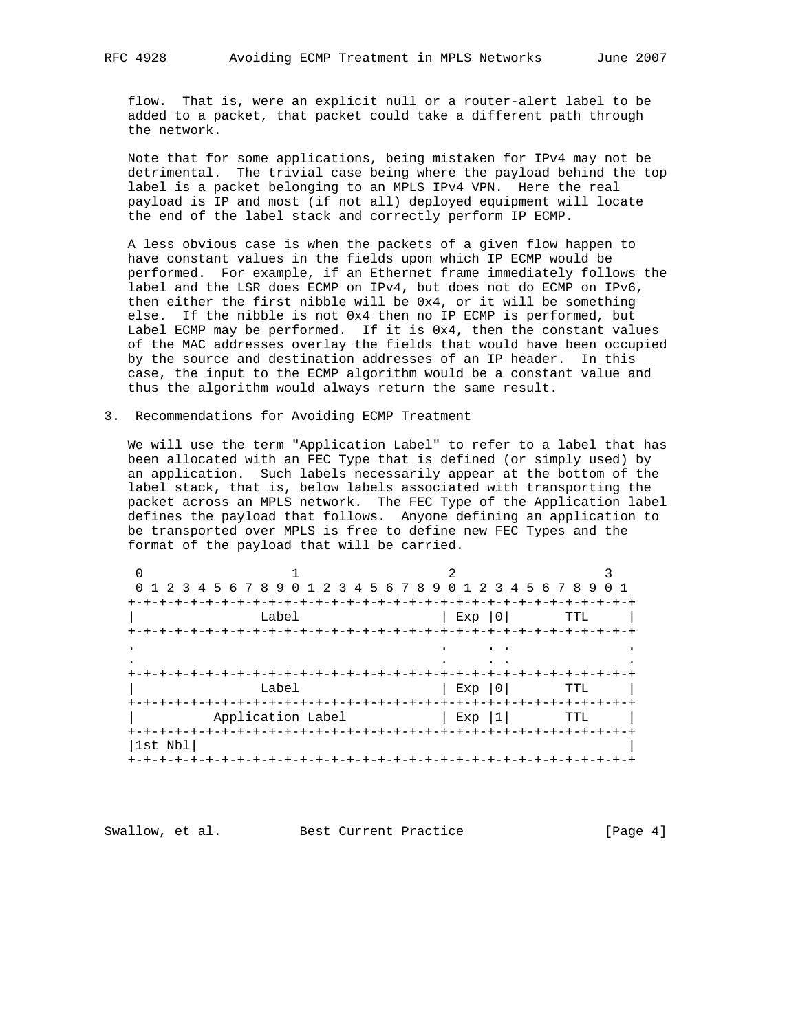flow. That is, were an explicit null or a router-alert label to be added to a packet, that packet could take a different path through the network.

 Note that for some applications, being mistaken for IPv4 may not be detrimental. The trivial case being where the payload behind the top label is a packet belonging to an MPLS IPv4 VPN. Here the real payload is IP and most (if not all) deployed equipment will locate the end of the label stack and correctly perform IP ECMP.

 A less obvious case is when the packets of a given flow happen to have constant values in the fields upon which IP ECMP would be performed. For example, if an Ethernet frame immediately follows the label and the LSR does ECMP on IPv4, but does not do ECMP on IPv6, then either the first nibble will be 0x4, or it will be something else. If the nibble is not 0x4 then no IP ECMP is performed, but Label ECMP may be performed. If it is 0x4, then the constant values of the MAC addresses overlay the fields that would have been occupied by the source and destination addresses of an IP header. In this case, the input to the ECMP algorithm would be a constant value and thus the algorithm would always return the same result.

3. Recommendations for Avoiding ECMP Treatment

 We will use the term "Application Label" to refer to a label that has been allocated with an FEC Type that is defined (or simply used) by an application. Such labels necessarily appear at the bottom of the label stack, that is, below labels associated with transporting the packet across an MPLS network. The FEC Type of the Application label defines the payload that follows. Anyone defining an application to be transported over MPLS is free to define new FEC Types and the format of the payload that will be carried.

|         | 0 1 2 3 4 5 6 7 8 9 0 1 2 3 4 5 6 7 8 9 0 1 2 3 4 5 6 7 8 9 |               | 0 <sub>1</sub> |
|---------|-------------------------------------------------------------|---------------|----------------|
| Label   |                                                             | Exp   0       | TTL            |
|         |                                                             |               |                |
|         |                                                             |               |                |
|         |                                                             |               |                |
| Label   |                                                             | Exp  0        | <b>TTL</b>     |
|         | -+-+-+-+-+-+-+-+-+-+-+-+-+-+-+-+-+-                         |               |                |
|         | Application Label                                           | Exp   1   TTL |                |
| 1st Nbl |                                                             |               |                |

Swallow, et al. Best Current Practice [Page 4]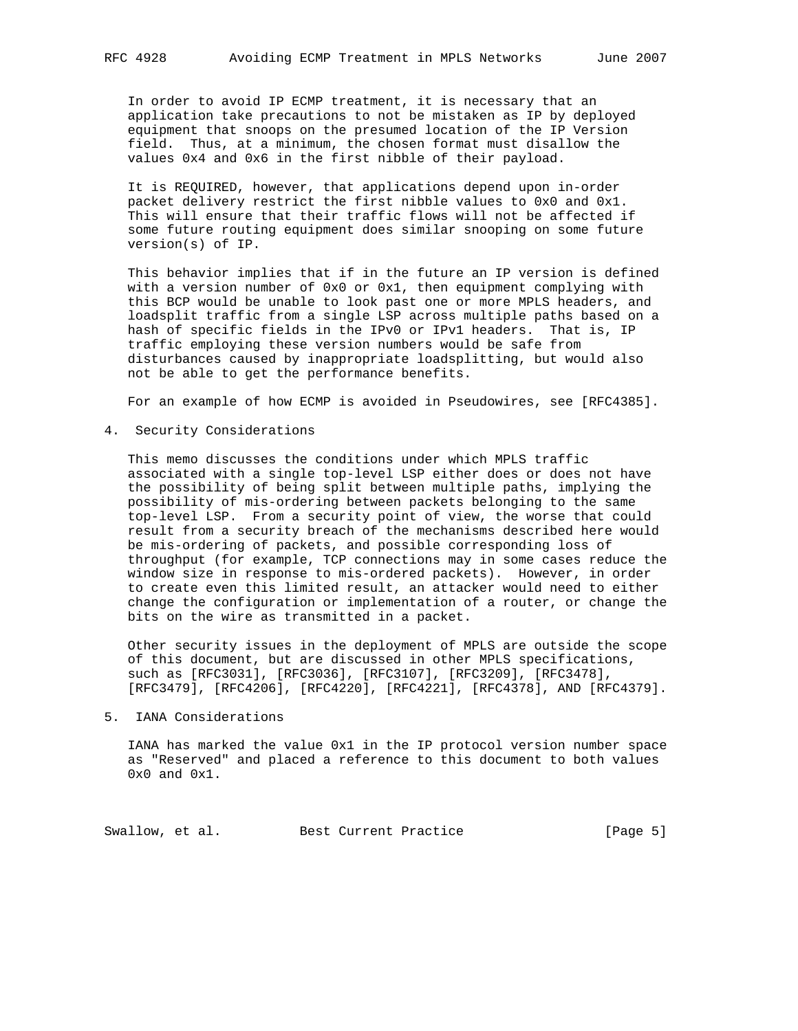In order to avoid IP ECMP treatment, it is necessary that an application take precautions to not be mistaken as IP by deployed equipment that snoops on the presumed location of the IP Version field. Thus, at a minimum, the chosen format must disallow the values 0x4 and 0x6 in the first nibble of their payload.

 It is REQUIRED, however, that applications depend upon in-order packet delivery restrict the first nibble values to 0x0 and 0x1. This will ensure that their traffic flows will not be affected if some future routing equipment does similar snooping on some future version(s) of IP.

 This behavior implies that if in the future an IP version is defined with a version number of 0x0 or 0x1, then equipment complying with this BCP would be unable to look past one or more MPLS headers, and loadsplit traffic from a single LSP across multiple paths based on a hash of specific fields in the IPv0 or IPv1 headers. That is, IP traffic employing these version numbers would be safe from disturbances caused by inappropriate loadsplitting, but would also not be able to get the performance benefits.

For an example of how ECMP is avoided in Pseudowires, see [RFC4385].

4. Security Considerations

 This memo discusses the conditions under which MPLS traffic associated with a single top-level LSP either does or does not have the possibility of being split between multiple paths, implying the possibility of mis-ordering between packets belonging to the same top-level LSP. From a security point of view, the worse that could result from a security breach of the mechanisms described here would be mis-ordering of packets, and possible corresponding loss of throughput (for example, TCP connections may in some cases reduce the window size in response to mis-ordered packets). However, in order to create even this limited result, an attacker would need to either change the configuration or implementation of a router, or change the bits on the wire as transmitted in a packet.

 Other security issues in the deployment of MPLS are outside the scope of this document, but are discussed in other MPLS specifications, such as [RFC3031], [RFC3036], [RFC3107], [RFC3209], [RFC3478], [RFC3479], [RFC4206], [RFC4220], [RFC4221], [RFC4378], AND [RFC4379].

5. IANA Considerations

 IANA has marked the value 0x1 in the IP protocol version number space as "Reserved" and placed a reference to this document to both values 0x0 and 0x1.

Swallow, et al. Best Current Practice [Page 5]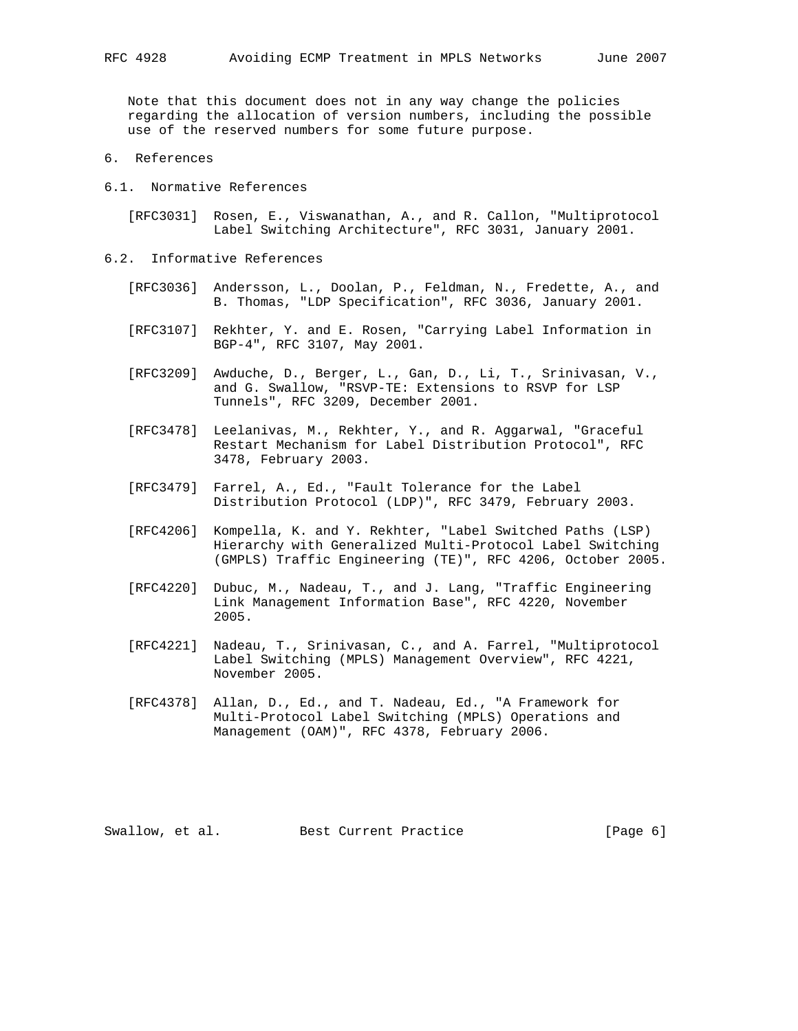Note that this document does not in any way change the policies regarding the allocation of version numbers, including the possible use of the reserved numbers for some future purpose.

- 6. References
- 6.1. Normative References

 [RFC3031] Rosen, E., Viswanathan, A., and R. Callon, "Multiprotocol Label Switching Architecture", RFC 3031, January 2001.

- 6.2. Informative References
	- [RFC3036] Andersson, L., Doolan, P., Feldman, N., Fredette, A., and B. Thomas, "LDP Specification", RFC 3036, January 2001.
	- [RFC3107] Rekhter, Y. and E. Rosen, "Carrying Label Information in BGP-4", RFC 3107, May 2001.
	- [RFC3209] Awduche, D., Berger, L., Gan, D., Li, T., Srinivasan, V., and G. Swallow, "RSVP-TE: Extensions to RSVP for LSP Tunnels", RFC 3209, December 2001.
	- [RFC3478] Leelanivas, M., Rekhter, Y., and R. Aggarwal, "Graceful Restart Mechanism for Label Distribution Protocol", RFC 3478, February 2003.
	- [RFC3479] Farrel, A., Ed., "Fault Tolerance for the Label Distribution Protocol (LDP)", RFC 3479, February 2003.
	- [RFC4206] Kompella, K. and Y. Rekhter, "Label Switched Paths (LSP) Hierarchy with Generalized Multi-Protocol Label Switching (GMPLS) Traffic Engineering (TE)", RFC 4206, October 2005.
	- [RFC4220] Dubuc, M., Nadeau, T., and J. Lang, "Traffic Engineering Link Management Information Base", RFC 4220, November 2005.
	- [RFC4221] Nadeau, T., Srinivasan, C., and A. Farrel, "Multiprotocol Label Switching (MPLS) Management Overview", RFC 4221, November 2005.
	- [RFC4378] Allan, D., Ed., and T. Nadeau, Ed., "A Framework for Multi-Protocol Label Switching (MPLS) Operations and Management (OAM)", RFC 4378, February 2006.

Swallow, et al. Best Current Practice [Page 6]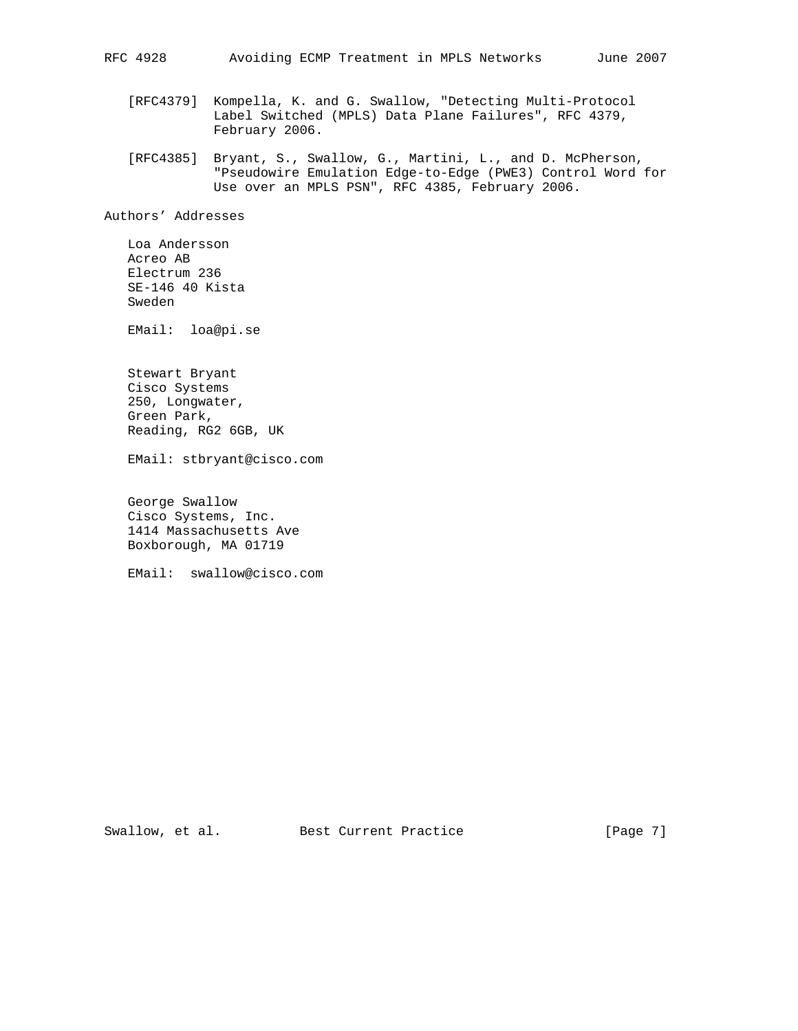- [RFC4379] Kompella, K. and G. Swallow, "Detecting Multi-Protocol Label Switched (MPLS) Data Plane Failures", RFC 4379, February 2006.
- [RFC4385] Bryant, S., Swallow, G., Martini, L., and D. McPherson, "Pseudowire Emulation Edge-to-Edge (PWE3) Control Word for Use over an MPLS PSN", RFC 4385, February 2006.

Authors' Addresses

 Loa Andersson Acreo AB Electrum 236 SE-146 40 Kista Sweden

EMail: loa@pi.se

 Stewart Bryant Cisco Systems 250, Longwater, Green Park, Reading, RG2 6GB, UK

EMail: stbryant@cisco.com

 George Swallow Cisco Systems, Inc. 1414 Massachusetts Ave Boxborough, MA 01719

EMail: swallow@cisco.com

Swallow, et al. Best Current Practice [Page 7]